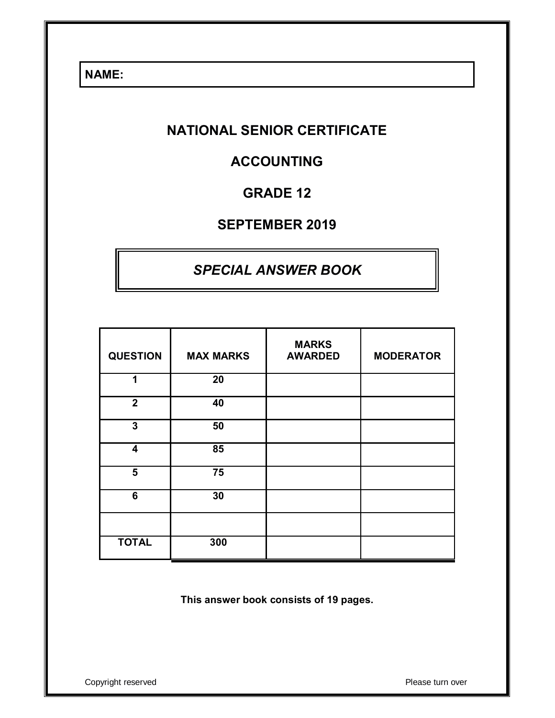**NAME:** 

# **NATIONAL SENIOR CERTIFICATE**

# **ACCOUNTING**

# **GRADE 12**

# **SEPTEMBER 2019**

# *SPECIAL ANSWER BOOK*

| <b>QUESTION</b>         | <b>MAX MARKS</b> | <b>MARKS</b><br><b>AWARDED</b> | <b>MODERATOR</b> |
|-------------------------|------------------|--------------------------------|------------------|
| 1                       | 20               |                                |                  |
| $\overline{\mathbf{2}}$ | 40               |                                |                  |
| 3                       | 50               |                                |                  |
| 4                       | 85               |                                |                  |
| 5                       | 75               |                                |                  |
| 6                       | 30               |                                |                  |
|                         |                  |                                |                  |
| <b>TOTAL</b>            | 300              |                                |                  |

**This answer book consists of 19 pages.**

Copyright reserved **Please** turn over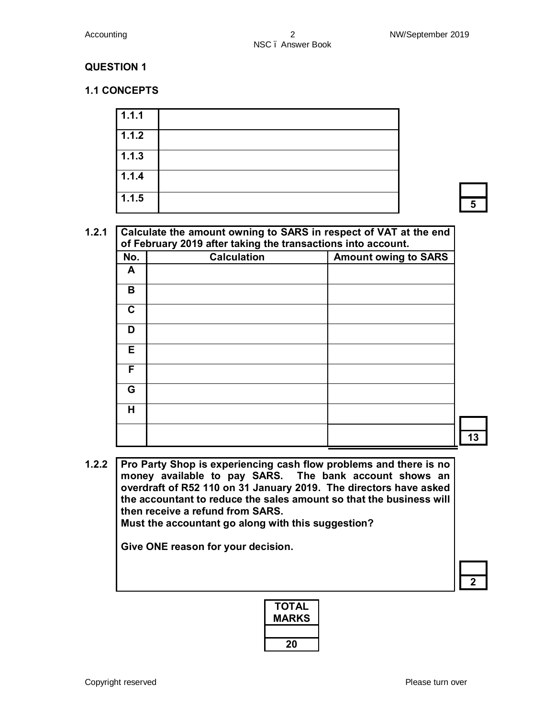#### **1.1 CONCEPTS**

| 1.1.1 |   |
|-------|---|
| 1.1.2 |   |
| 1.1.3 |   |
| 1.1.4 |   |
| 1.1.5 | 5 |

#### **1.2.1 Calculate the amount owning to SARS in respect of VAT at the end of February 2019 after taking the transactions into account.**

|              | or repruary zono anor taking the transactions into account. |                             |
|--------------|-------------------------------------------------------------|-----------------------------|
| No.          | <b>Calculation</b>                                          | <b>Amount owing to SARS</b> |
| $\mathsf{A}$ |                                                             |                             |
| B            |                                                             |                             |
| C            |                                                             |                             |
| D            |                                                             |                             |
| Е            |                                                             |                             |
| F            |                                                             |                             |
| G            |                                                             |                             |
| Η            |                                                             |                             |
|              |                                                             |                             |

**1.2.2 Pro Party Shop is experiencing cash flow problems and there is no money available to pay SARS. The bank account shows an overdraft of R52 110 on 31 January 2019. The directors have asked the accountant to reduce the sales amount so that the business will then receive a refund from SARS. Must the accountant go along with this suggestion?** 

**Give ONE reason for your decision.** 

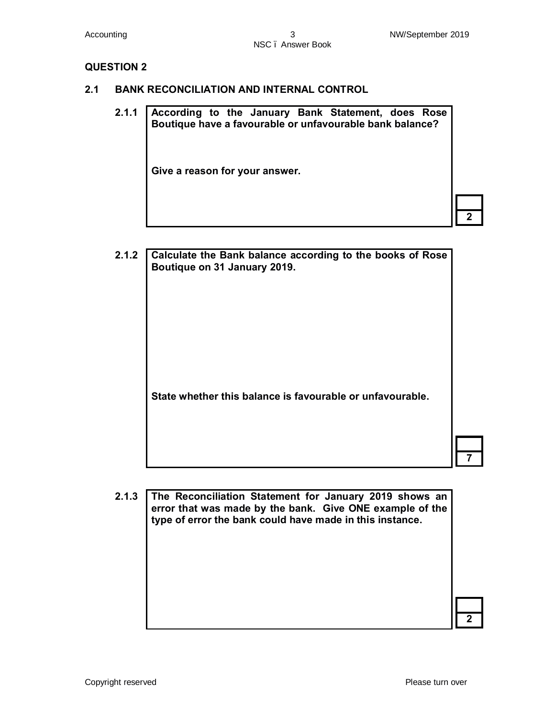**2**

#### **QUESTION 2**

- **2.1 BANK RECONCILIATION AND INTERNAL CONTROL**
	- **2.1.1 According to the January Bank Statement, does Rose Boutique have a favourable or unfavourable bank balance? Give a reason for your answer.**

| 2.1.2 | Calculate the Bank balance according to the books of Rose<br>Boutique on 31 January 2019. |  |
|-------|-------------------------------------------------------------------------------------------|--|
|       |                                                                                           |  |
|       |                                                                                           |  |
|       |                                                                                           |  |
|       | State whether this balance is favourable or unfavourable.                                 |  |
|       |                                                                                           |  |
|       |                                                                                           |  |

**2.1.3 The Reconciliation Statement for January 2019 shows an error that was made by the bank. Give ONE example of the type of error the bank could have made in this instance. 2**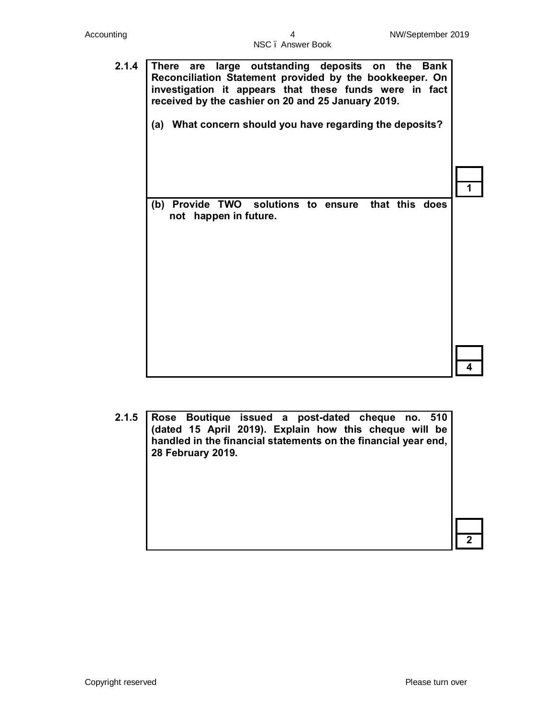| 2.1.4 | There are large outstanding deposits on the Bank<br>Reconciliation Statement provided by the bookkeeper. On<br>investigation it appears that these funds were in fact<br>received by the cashier on 20 and 25 January 2019. |  |
|-------|-----------------------------------------------------------------------------------------------------------------------------------------------------------------------------------------------------------------------------|--|
|       | (a) What concern should you have regarding the deposits?                                                                                                                                                                    |  |
|       |                                                                                                                                                                                                                             |  |
|       |                                                                                                                                                                                                                             |  |
|       | Provide TWO solutions to ensure that this does<br>(b)<br>not happen in future.                                                                                                                                              |  |
|       |                                                                                                                                                                                                                             |  |
|       |                                                                                                                                                                                                                             |  |
|       |                                                                                                                                                                                                                             |  |
|       |                                                                                                                                                                                                                             |  |
|       |                                                                                                                                                                                                                             |  |

**2.1.5 Rose Boutique issued a post-dated cheque no. 510 (dated 15 April 2019). Explain how this cheque will be handled in the financial statements on the financial year end, 28 February 2019. 2**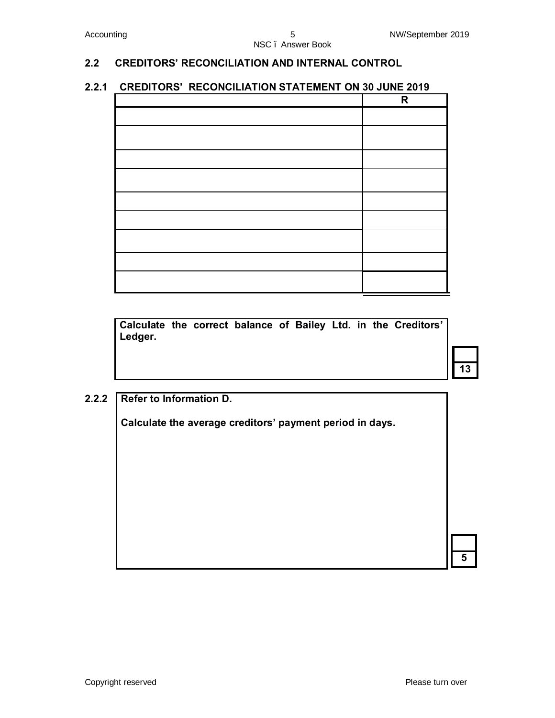#### **2.2 CREDITORS' RECONCILIATION AND INTERNAL CONTROL**

### **2.2.1 CREDITORS' RECONCILIATION STATEMENT ON 30 JUNE 2019**

| R |
|---|
|   |
|   |
|   |
|   |
|   |
|   |
|   |
|   |
|   |

**Calculate the correct balance of Bailey Ltd. in the Creditors' Ledger.**

**13**

**5**

#### **2.2.2 Refer to Information D.**

**Calculate the average creditors' payment period in days.**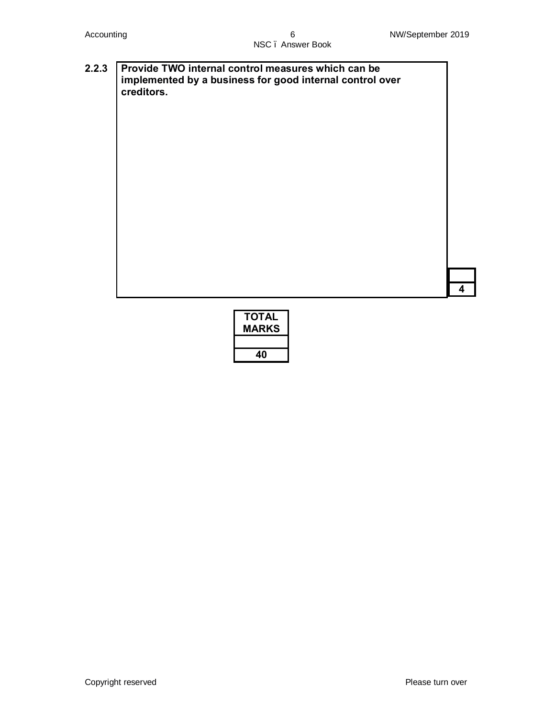**4**

#### **2.2.3 Provide TWO internal control measures which can be implemented by a business for good internal control over creditors.**

| ΤΟΤΑL<br><b>MARKS</b> |
|-----------------------|
|                       |
| 40                    |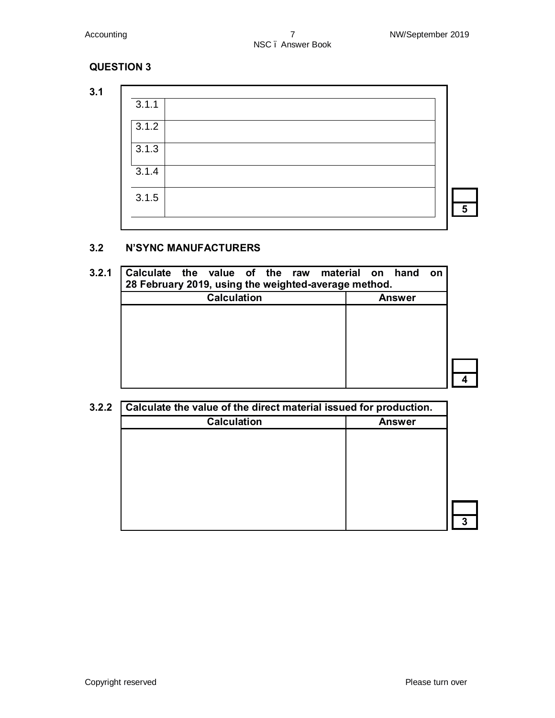**3.1**

| 3.1.1              |   |
|--------------------|---|
| 3.1.2              |   |
| 3.1.3              |   |
| $\overline{3.1.4}$ |   |
| 3.1.5              | 5 |
|                    |   |

#### **3.2 N'SYNC MANUFACTURERS**

| 3.2.1 | Calculate the value of the raw material on hand<br>28 February 2019, using the weighted-average method. | on            |  |
|-------|---------------------------------------------------------------------------------------------------------|---------------|--|
|       | <b>Calculation</b>                                                                                      | <b>Answer</b> |  |
|       |                                                                                                         |               |  |
|       |                                                                                                         |               |  |
|       |                                                                                                         |               |  |
|       |                                                                                                         |               |  |
|       |                                                                                                         |               |  |

| <b>Calculation</b> | <b>Answer</b> |
|--------------------|---------------|
|                    |               |
|                    |               |
|                    |               |
|                    |               |
|                    |               |
|                    |               |
|                    |               |
|                    |               |
|                    |               |
|                    |               |
|                    |               |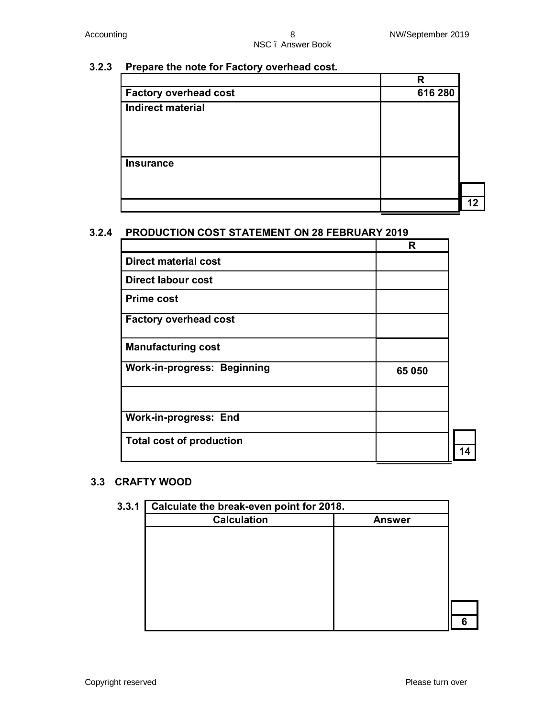#### **3.2.3 Prepare the note for Factory overhead cost.**

|                              | R       |    |
|------------------------------|---------|----|
| <b>Factory overhead cost</b> | 616 280 |    |
| <b>Indirect material</b>     |         |    |
| <b>Insurance</b>             |         |    |
|                              |         |    |
|                              |         | 12 |

#### **3.2.4 PRODUCTION COST STATEMENT ON 28 FEBRUARY 2019**

|                                    | R      |  |
|------------------------------------|--------|--|
| <b>Direct material cost</b>        |        |  |
| <b>Direct labour cost</b>          |        |  |
| <b>Prime cost</b>                  |        |  |
| <b>Factory overhead cost</b>       |        |  |
| <b>Manufacturing cost</b>          |        |  |
| <b>Work-in-progress: Beginning</b> | 65 050 |  |
|                                    |        |  |
| <b>Work-in-progress: End</b>       |        |  |
| <b>Total cost of production</b>    |        |  |

#### **3.3 CRAFTY WOOD**

| <b>Calculation</b> | <b>Answer</b> |
|--------------------|---------------|
|                    |               |
|                    |               |
|                    |               |
|                    |               |
|                    |               |
|                    |               |
|                    |               |
|                    |               |
|                    |               |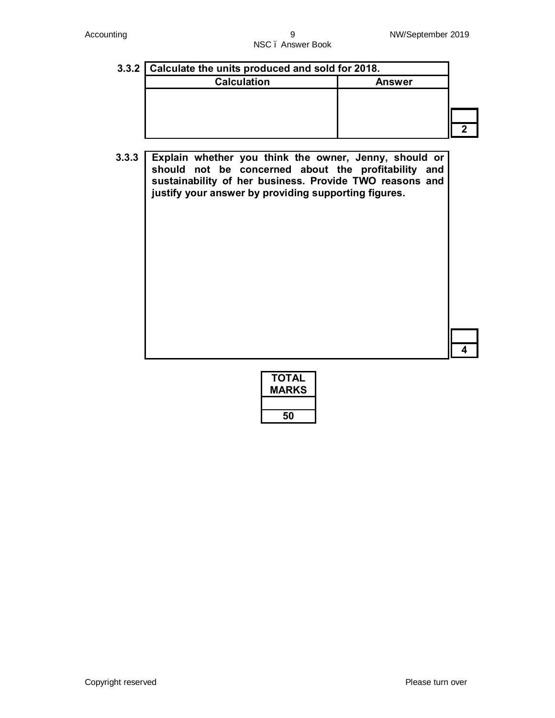| 3.3.2 Calculate the units produced and sold for 2018. |               |  |  |  |  |
|-------------------------------------------------------|---------------|--|--|--|--|
| <b>Calculation</b>                                    | <b>Answer</b> |  |  |  |  |
|                                                       |               |  |  |  |  |
|                                                       |               |  |  |  |  |
|                                                       |               |  |  |  |  |
|                                                       |               |  |  |  |  |

**3.3.3 Explain whether you think the owner, Jenny, should or should not be concerned about the profitability and sustainability of her business. Provide TWO reasons and justify your answer by providing supporting figures.**

| TOTAL<br><b>MARKS</b> |
|-----------------------|
|                       |
| 50                    |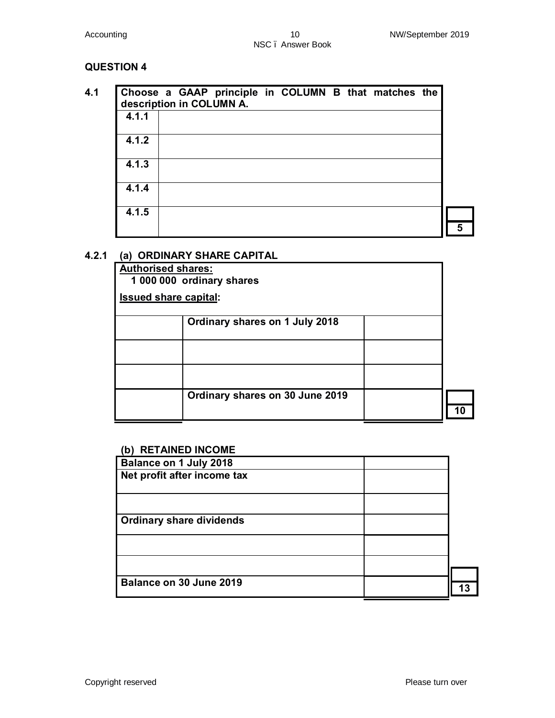|       |  | description in COLUMN A. | Choose a GAAP principle in COLUMN B that matches the |  |  |
|-------|--|--------------------------|------------------------------------------------------|--|--|
| 4.1.1 |  |                          |                                                      |  |  |
| 4.1.2 |  |                          |                                                      |  |  |
| 4.1.3 |  |                          |                                                      |  |  |
| 4.1.4 |  |                          |                                                      |  |  |
| 4.1.5 |  |                          |                                                      |  |  |
|       |  |                          |                                                      |  |  |

### **4.2.1 (a) ORDINARY SHARE CAPITAL**

| <b>Authorised shares:</b>    | 1 000 000 ordinary shares       |  |
|------------------------------|---------------------------------|--|
| <b>Issued share capital:</b> |                                 |  |
|                              | Ordinary shares on 1 July 2018  |  |
|                              |                                 |  |
|                              |                                 |  |
|                              | Ordinary shares on 30 June 2019 |  |

#### **(b) RETAINED INCOME**

| $\mathbf{v}$                    |  |
|---------------------------------|--|
| Balance on 1 July 2018          |  |
| Net profit after income tax     |  |
|                                 |  |
|                                 |  |
|                                 |  |
| <b>Ordinary share dividends</b> |  |
|                                 |  |
|                                 |  |
|                                 |  |
|                                 |  |
|                                 |  |
| Balance on 30 June 2019         |  |
|                                 |  |
|                                 |  |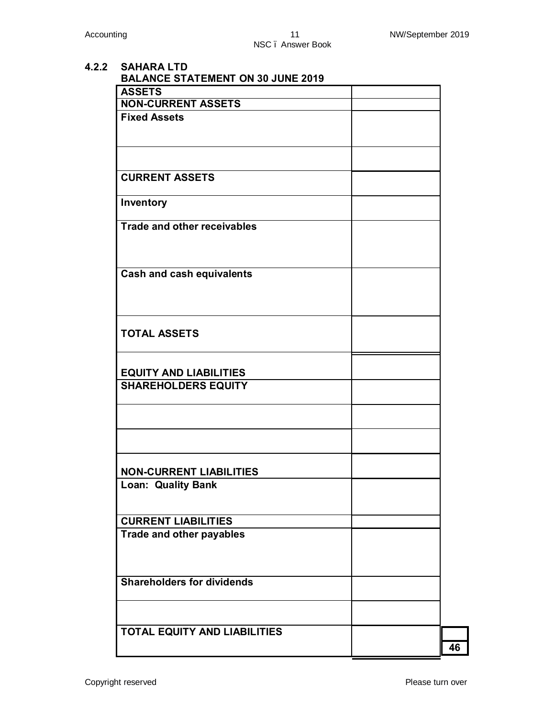**4.2.2 SAHARA LTD BALANCE STATEMENT ON 30 JUNE 2019 ASSETS NON-CURRENT ASSETS Fixed Assets CURRENT ASSETS Inventory Trade and other receivables Cash and cash equivalents TOTAL ASSETS EQUITY AND LIABILITIES SHAREHOLDERS EQUITY NON-CURRENT LIABILITIES Loan: Quality Bank CURRENT LIABILITIES Trade and other payables Shareholders for dividends TOTAL EQUITY AND LIABILITIES 46**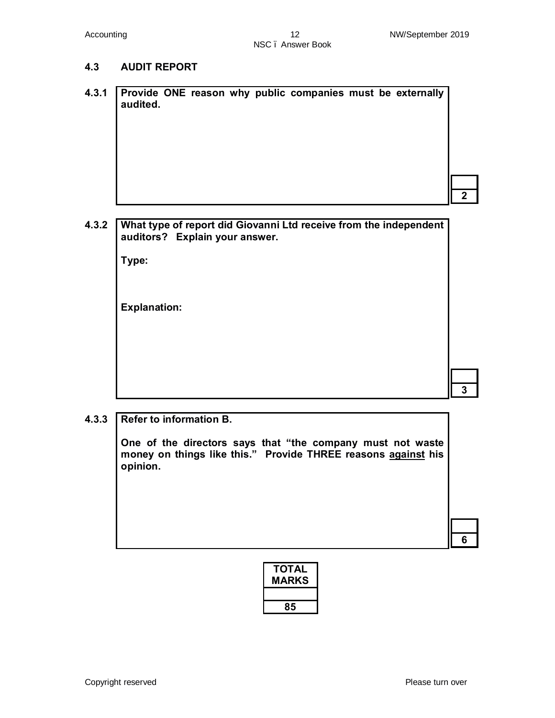#### **4.3 AUDIT REPORT**

**4.3.1 Provide ONE reason why public companies must be externally audited.**

# **4.3.2 What type of report did Giovanni Ltd receive from the independent auditors? Explain your answer.**

**Type:** 

**Explanation:** 

**6**

**2**

#### **4.3.3 Refer to information B.**

**One of the directors says that "the company must not waste money on things like this." Provide THREE reasons against his opinion.**

| ΤΟΤΑL<br><b>MARKS</b> |
|-----------------------|
|                       |
| 85                    |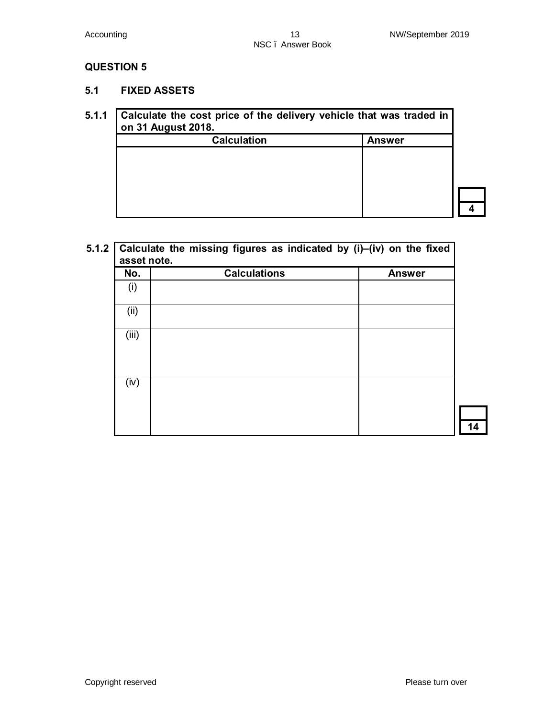**5.1 FIXED ASSETS**

#### **5.1.1 Calculate the cost price of the delivery vehicle that was traded in on 31 August 2018.**

| <b>Calculation</b> | <b>Answer</b> |  |
|--------------------|---------------|--|
|                    |               |  |
|                    |               |  |
|                    |               |  |
|                    |               |  |
|                    |               |  |

| No.   | <b>Calculations</b> | <b>Answer</b> |
|-------|---------------------|---------------|
| (i)   |                     |               |
| (ii)  |                     |               |
| (iii) |                     |               |
| (iv)  |                     |               |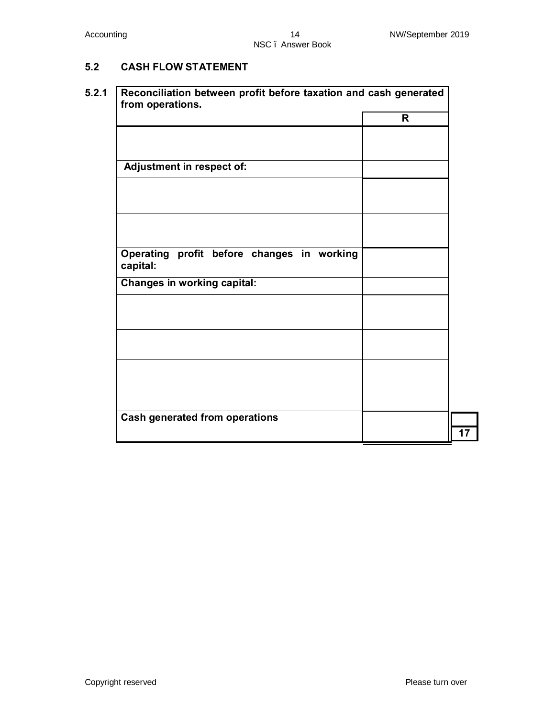## **5.2 CASH FLOW STATEMENT**

|                                            | $\mathsf{R}$ |
|--------------------------------------------|--------------|
|                                            |              |
|                                            |              |
|                                            |              |
| <b>Adjustment in respect of:</b>           |              |
|                                            |              |
|                                            |              |
|                                            |              |
|                                            |              |
|                                            |              |
|                                            |              |
|                                            |              |
| Operating profit before changes in working |              |
| capital:                                   |              |
|                                            |              |
| <b>Changes in working capital:</b>         |              |
|                                            |              |
|                                            |              |
|                                            |              |
|                                            |              |
|                                            |              |
|                                            |              |
|                                            |              |
|                                            |              |
|                                            |              |
|                                            |              |
|                                            |              |
| <b>Cash generated from operations</b>      |              |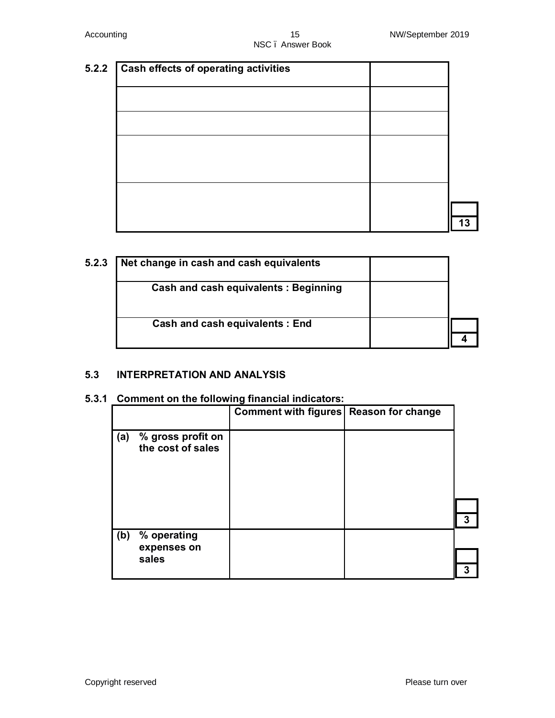| 5.2.2 | <b>Cash effects of operating activities</b> |    |
|-------|---------------------------------------------|----|
|       |                                             |    |
|       |                                             |    |
|       |                                             |    |
|       |                                             |    |
|       |                                             |    |
|       |                                             |    |
|       |                                             | 13 |

| 5.2.3 | Net change in cash and cash equivalents     |  |
|-------|---------------------------------------------|--|
|       | <b>Cash and cash equivalents: Beginning</b> |  |
|       | <b>Cash and cash equivalents: End</b>       |  |
|       |                                             |  |

#### **5.3 INTERPRETATION AND ANALYSIS**

#### **5.3.1 Comment on the following financial indicators:**

|     | % gross profit on<br>the cost of sales | Comment with figures   Reason for change |   |
|-----|----------------------------------------|------------------------------------------|---|
|     |                                        |                                          | 3 |
| (b) | % operating<br>expenses on             |                                          |   |
|     | sales                                  |                                          | 7 |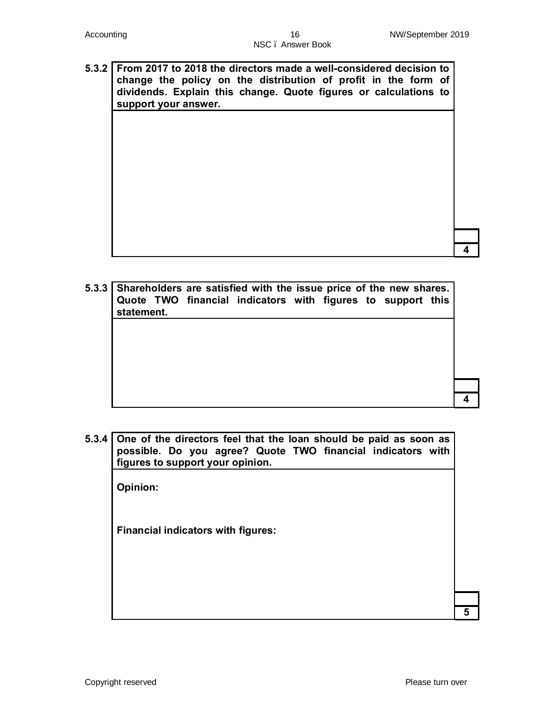**5.3.2 From 2017 to 2018 the directors made a well-considered decision to change the policy on the distribution of profit in the form of dividends. Explain this change. Quote figures or calculations to support your answer.**

**4**

**4**

**5**

- **5.3.3 Shareholders are satisfied with the issue price of the new shares. Quote TWO financial indicators with figures to support this statement.**
- **5.3.4 One of the directors feel that the loan should be paid as soon as possible. Do you agree? Quote TWO financial indicators with figures to support your opinion.**

**Opinion:**

**Financial indicators with figures:**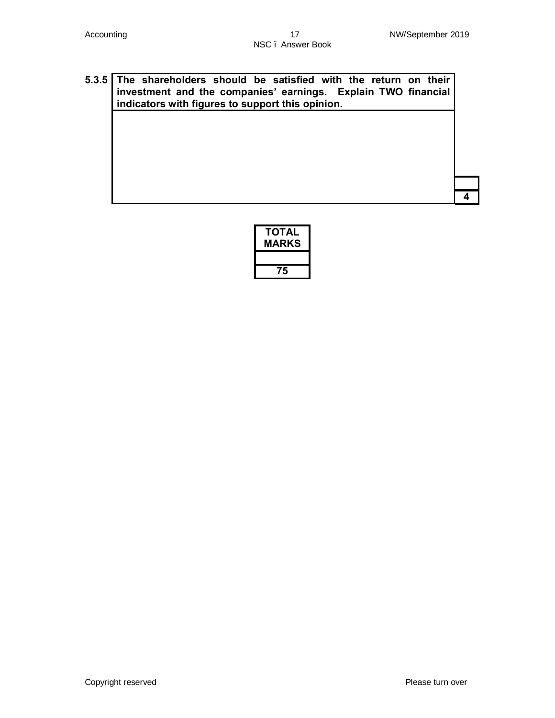# **5.3.5 The shareholders should be satisfied with the return on their investment and the companies' earnings. Explain TWO financial indicators with figures to support this opinion.**

| ΤΟΤΑL<br><b>MARKS</b> |
|-----------------------|
|                       |
| 75                    |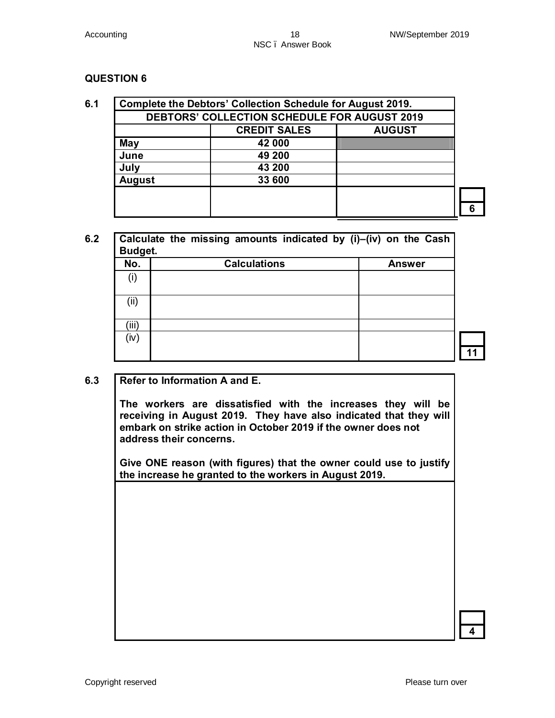|               | <b>DEBTORS' COLLECTION SCHEDULE FOR AUGUST 2019</b><br><b>CREDIT SALES</b> | <b>AUGUST</b> |
|---------------|----------------------------------------------------------------------------|---------------|
| May           | 42 000                                                                     |               |
| June          | 49 200                                                                     |               |
| July          | 43 200                                                                     |               |
| <b>August</b> | 33 600                                                                     |               |

| No.   | <b>Calculations</b> | <b>Answer</b> |
|-------|---------------------|---------------|
| (i)   |                     |               |
| (ii)  |                     |               |
| (iii) |                     |               |

#### **6.3 Refer to Information A and E.**

**The workers are dissatisfied with the increases they will be receiving in August 2019. They have also indicated that they will embark on strike action in October 2019 if the owner does not address their concerns.**

**Give ONE reason (with figures) that the owner could use to justify the increase he granted to the workers in August 2019.**

**4**